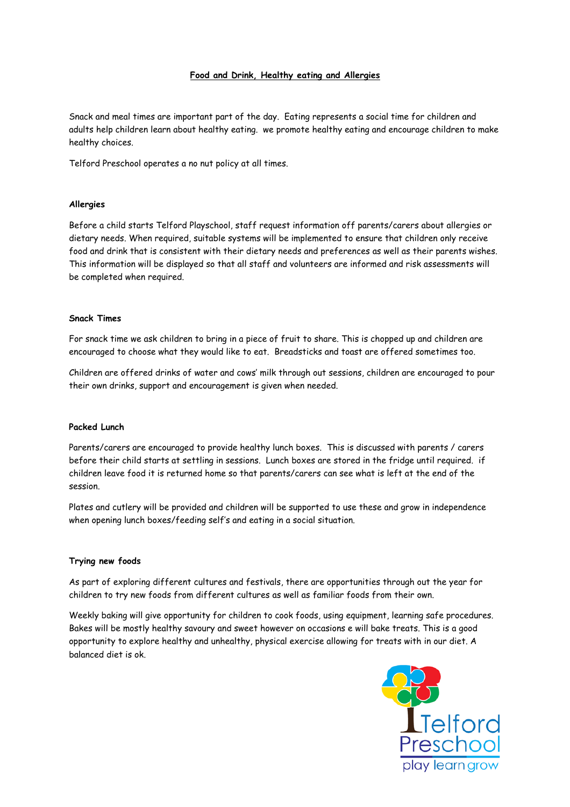## **Food and Drink, Healthy eating and Allergies**

Snack and meal times are important part of the day. Eating represents a social time for children and adults help children learn about healthy eating. we promote healthy eating and encourage children to make healthy choices.

Telford Preschool operates a no nut policy at all times.

## **Allergies**

Before a child starts Telford Playschool, staff request information off parents/carers about allergies or dietary needs. When required, suitable systems will be implemented to ensure that children only receive food and drink that is consistent with their dietary needs and preferences as well as their parents wishes. This information will be displayed so that all staff and volunteers are informed and risk assessments will be completed when required.

#### **Snack Times**

For snack time we ask children to bring in a piece of fruit to share. This is chopped up and children are encouraged to choose what they would like to eat. Breadsticks and toast are offered sometimes too.

Children are offered drinks of water and cows' milk through out sessions, children are encouraged to pour their own drinks, support and encouragement is given when needed.

#### **Packed Lunch**

Parents/carers are encouraged to provide healthy lunch boxes. This is discussed with parents / carers before their child starts at settling in sessions. Lunch boxes are stored in the fridge until required. if children leave food it is returned home so that parents/carers can see what is left at the end of the session.

Plates and cutlery will be provided and children will be supported to use these and grow in independence when opening lunch boxes/feeding self's and eating in a social situation.

#### **Trying new foods**

As part of exploring different cultures and festivals, there are opportunities through out the year for children to try new foods from different cultures as well as familiar foods from their own.

Weekly baking will give opportunity for children to cook foods, using equipment, learning safe procedures. Bakes will be mostly healthy savoury and sweet however on occasions e will bake treats. This is a good opportunity to explore healthy and unhealthy, physical exercise allowing for treats with in our diet. A balanced diet is ok.

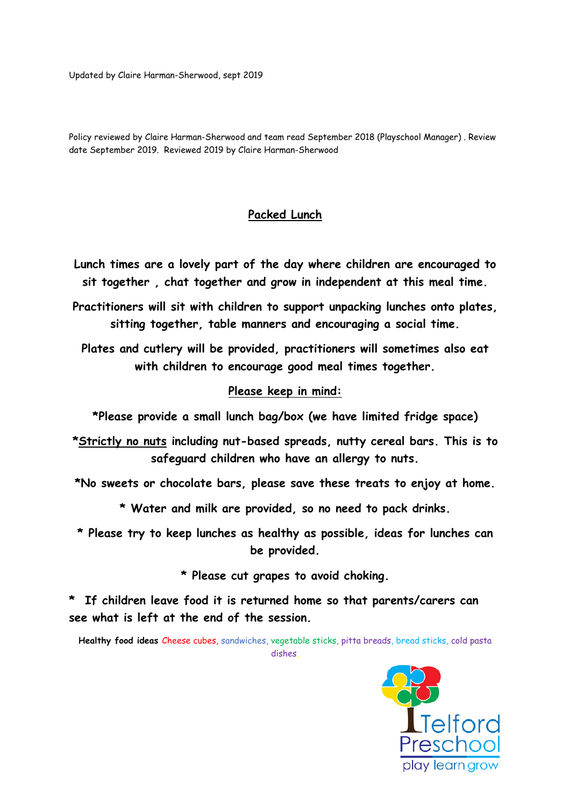Updated by Claire Harman-Sherwood, sept 2019

Policy reviewed by Claire Harman-Sherwood and team read September 2018 (Playschool Manager) . Review date September 2019. Reviewed 2019 by Claire Harman-Sherwood

# **Packed Lunch**

- **Lunch times are a lovely part of the day where children are encouraged to sit together , chat together and grow in independent at this meal time.**
- **Practitioners will sit with children to support unpacking lunches onto plates, sitting together, table manners and encouraging a social time.**

**Plates and cutlery will be provided, practitioners will sometimes also eat with children to encourage good meal times together.** 

# **Please keep in mind:**

**\*Please provide a small lunch bag/box (we have limited fridge space)** 

- **\*Strictly no nuts including nut-based spreads, nutty cereal bars. This is to safeguard children who have an allergy to nuts.**
- **\*No sweets or chocolate bars, please save these treats to enjoy at home.** 
	- **\* Water and milk are provided, so no need to pack drinks.**
- **\* Please try to keep lunches as healthy as possible, ideas for lunches can be provided.**

**\* Please cut grapes to avoid choking.** 

**\* If children leave food it is returned home so that parents/carers can see what is left at the end of the session.** 

**Healthy food ideas** Cheese cubes, sandwiches, vegetable sticks, pitta breads, bread sticks, cold pasta dishes,